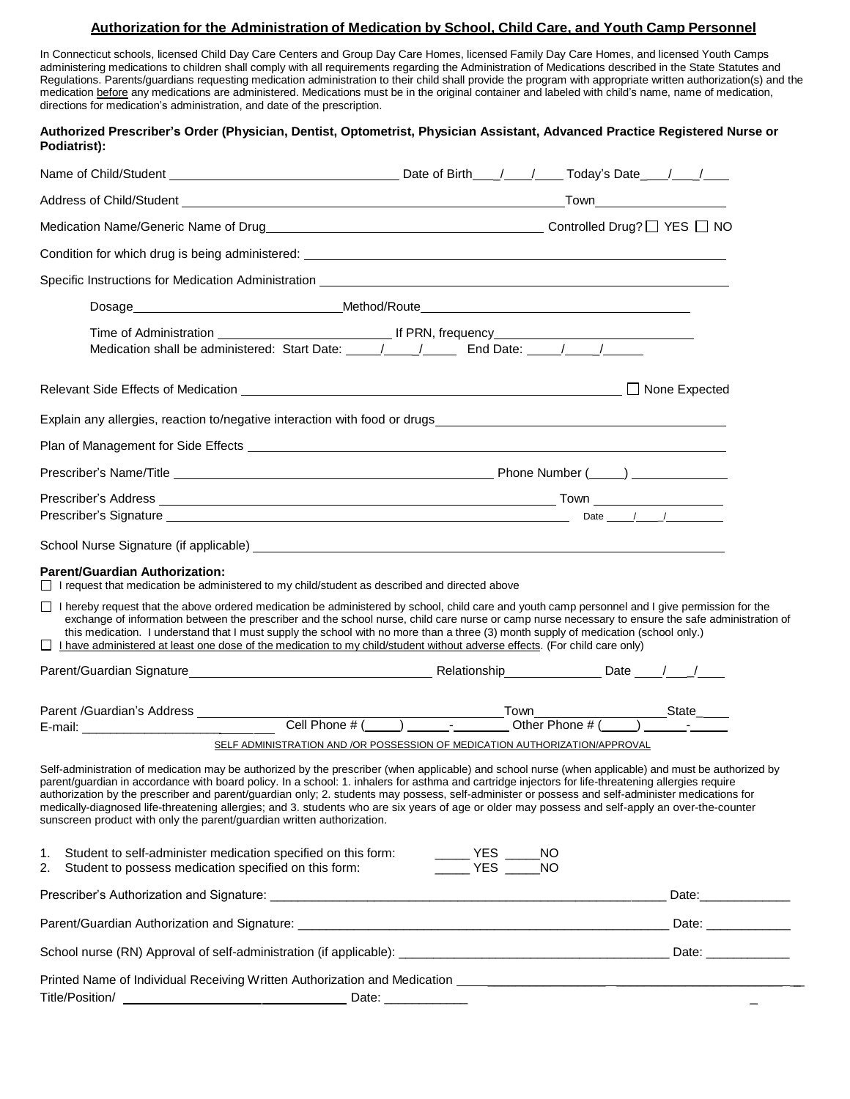## **Authorization for the Administration of Medication by School, Child Care, and Youth Camp Personnel**

In Connecticut schools, licensed Child Day Care Centers and Group Day Care Homes, licensed Family Day Care Homes, and licensed Youth Camps administering medications to children shall comply with all requirements regarding the Administration of Medications described in the State Statutes and Regulations. Parents/guardians requesting medication administration to their child shall provide the program with appropriate written authorization(s) and the medication before any medications are administered. Medications must be in the original container and labeled with child's name, name of medication, directions for medication's administration, and date of the prescription.

|              | Authorized Prescriber's Order (Physician, Dentist, Optometrist, Physician Assistant, Advanced Practice Registered Nurse or |  |
|--------------|----------------------------------------------------------------------------------------------------------------------------|--|
| Podiatrist): |                                                                                                                            |  |

|                                                                                                                                                                                                                                                                                               | Medication Name/Generic Name of Drug<br>Medication Name/Generic Name of Drug<br>MO                                                                                                                                                                                                                                                                                                                                                                                                                                                                                                                                                                                                                  |
|-----------------------------------------------------------------------------------------------------------------------------------------------------------------------------------------------------------------------------------------------------------------------------------------------|-----------------------------------------------------------------------------------------------------------------------------------------------------------------------------------------------------------------------------------------------------------------------------------------------------------------------------------------------------------------------------------------------------------------------------------------------------------------------------------------------------------------------------------------------------------------------------------------------------------------------------------------------------------------------------------------------------|
|                                                                                                                                                                                                                                                                                               |                                                                                                                                                                                                                                                                                                                                                                                                                                                                                                                                                                                                                                                                                                     |
|                                                                                                                                                                                                                                                                                               | Specific Instructions for Medication Administration <b>Construction</b> and the specific Instructions of Medication Administration <b>Construction</b>                                                                                                                                                                                                                                                                                                                                                                                                                                                                                                                                              |
|                                                                                                                                                                                                                                                                                               | Dosage___________________________________Method/Route____________________________                                                                                                                                                                                                                                                                                                                                                                                                                                                                                                                                                                                                                   |
|                                                                                                                                                                                                                                                                                               |                                                                                                                                                                                                                                                                                                                                                                                                                                                                                                                                                                                                                                                                                                     |
|                                                                                                                                                                                                                                                                                               |                                                                                                                                                                                                                                                                                                                                                                                                                                                                                                                                                                                                                                                                                                     |
|                                                                                                                                                                                                                                                                                               |                                                                                                                                                                                                                                                                                                                                                                                                                                                                                                                                                                                                                                                                                                     |
|                                                                                                                                                                                                                                                                                               |                                                                                                                                                                                                                                                                                                                                                                                                                                                                                                                                                                                                                                                                                                     |
|                                                                                                                                                                                                                                                                                               |                                                                                                                                                                                                                                                                                                                                                                                                                                                                                                                                                                                                                                                                                                     |
|                                                                                                                                                                                                                                                                                               |                                                                                                                                                                                                                                                                                                                                                                                                                                                                                                                                                                                                                                                                                                     |
|                                                                                                                                                                                                                                                                                               |                                                                                                                                                                                                                                                                                                                                                                                                                                                                                                                                                                                                                                                                                                     |
|                                                                                                                                                                                                                                                                                               |                                                                                                                                                                                                                                                                                                                                                                                                                                                                                                                                                                                                                                                                                                     |
|                                                                                                                                                                                                                                                                                               |                                                                                                                                                                                                                                                                                                                                                                                                                                                                                                                                                                                                                                                                                                     |
| <b>Parent/Guardian Authorization:</b><br>□ I request that medication be administered to my child/student as described and directed above<br>□ I hereby request that the above ordered medication be administered by school, child care and youth camp personnel and I give permission for the |                                                                                                                                                                                                                                                                                                                                                                                                                                                                                                                                                                                                                                                                                                     |
|                                                                                                                                                                                                                                                                                               | exchange of information between the prescriber and the school nurse, child care nurse or camp nurse necessary to ensure the safe administration of<br>this medication. I understand that I must supply the school with no more than a three (3) month supply of medication (school only.)                                                                                                                                                                                                                                                                                                                                                                                                           |
| $\Box$ I have administered at least one dose of the medication to my child/student without adverse effects. (For child care only)                                                                                                                                                             |                                                                                                                                                                                                                                                                                                                                                                                                                                                                                                                                                                                                                                                                                                     |
|                                                                                                                                                                                                                                                                                               |                                                                                                                                                                                                                                                                                                                                                                                                                                                                                                                                                                                                                                                                                                     |
|                                                                                                                                                                                                                                                                                               |                                                                                                                                                                                                                                                                                                                                                                                                                                                                                                                                                                                                                                                                                                     |
| Parent /Guardian's Address _____________                                                                                                                                                                                                                                                      |                                                                                                                                                                                                                                                                                                                                                                                                                                                                                                                                                                                                                                                                                                     |
| sunscreen product with only the parent/guardian written authorization.                                                                                                                                                                                                                        | SELF ADMINISTRATION AND /OR POSSESSION OF MEDICATION AUTHORIZATION/APPROVAL<br>Self-administration of medication may be authorized by the prescriber (when applicable) and school nurse (when applicable) and must be authorized by<br>parent/guardian in accordance with board policy. In a school: 1. inhalers for asthma and cartridge injectors for life-threatening allergies require<br>authorization by the prescriber and parent/guardian only; 2. students may possess, self-administer or possess and self-administer medications for<br>medically-diagnosed life-threatening allergies; and 3. students who are six years of age or older may possess and self-apply an over-the-counter |
| 1.<br>2.<br>Student to possess medication specified on this form:                                                                                                                                                                                                                             |                                                                                                                                                                                                                                                                                                                                                                                                                                                                                                                                                                                                                                                                                                     |
|                                                                                                                                                                                                                                                                                               |                                                                                                                                                                                                                                                                                                                                                                                                                                                                                                                                                                                                                                                                                                     |
|                                                                                                                                                                                                                                                                                               |                                                                                                                                                                                                                                                                                                                                                                                                                                                                                                                                                                                                                                                                                                     |
|                                                                                                                                                                                                                                                                                               |                                                                                                                                                                                                                                                                                                                                                                                                                                                                                                                                                                                                                                                                                                     |